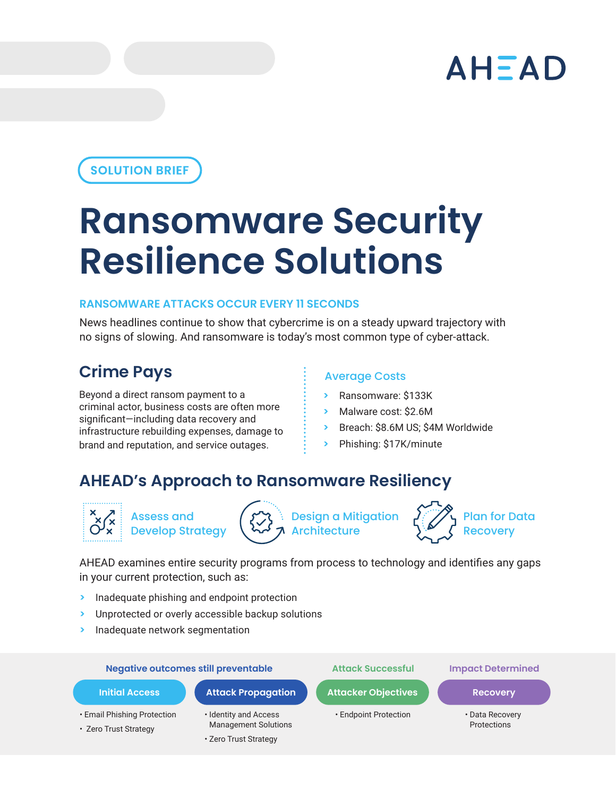# AHEAD

# **SOLUTION BRIEF**

# **Ransomware Security Resilience Solutions**

# **RANSOMWARE ATTACKS OCCUR EVERY 11 SECONDS**

News headlines continue to show that cybercrime is on a steady upward trajectory with no signs of slowing. And ransomware is today's most common type of cyber-attack.

# **Crime Pays**

Beyond a direct ransom payment to a criminal actor, business costs are often more significant—including data recovery and infrastructure rebuilding expenses, damage to brand and reputation, and service outages.

# Average Costs

- **>** Ransomware: \$133K
- **>** Malware cost: \$2.6M
- **>** Breach: \$8.6M US; \$4M Worldwide
- **>** Phishing: \$17K/minute

# **AHEAD's Approach to Ransomware Resiliency**



Assess and Develop Strategy **Design a Mitigation** Architecture



Plan for Data **Recoverv** 

AHEAD examines entire security programs from process to technology and identifies any gaps in your current protection, such as:

- **>** Inadequate phishing and endpoint protection
- **>** Unprotected or overly accessible backup solutions
- **>** Inadequate network segmentation

### **Negative outcomes still preventable Attack Successful Impact Determined**

- 
- Email Phishing Protection
- Zero Trust Strategy
- Identity and Access
- Management Solutions

# • Zero Trust Strategy

- **Initial Access Comparison Actual Attack Propagation Actual Actor Constant Actor Actor Actor Actor Actor Actor** 
	- Endpoint Protection Data Recovery

- 
- Protections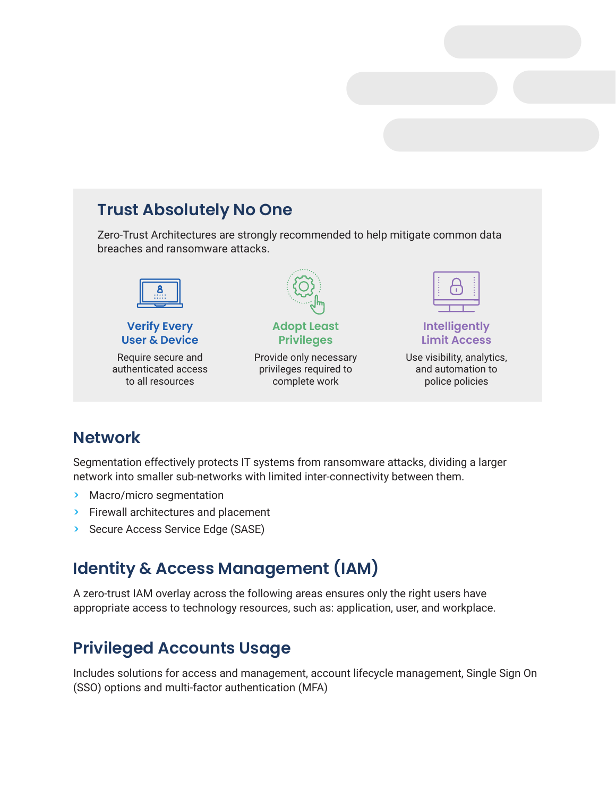# **Trust Absolutely No One**

Zero-Trust Architectures are strongly recommended to help mitigate common data breaches and ransomware attacks.



**Verify Every User & Device**

Require secure and authenticated access to all resources



## **Adopt Least Privileges**

Provide only necessary privileges required to complete work



# **Intelligently Limit Access**

Use visibility, analytics, and automation to police policies

# **Network**

Segmentation effectively protects IT systems from ransomware attacks, dividing a larger network into smaller sub-networks with limited inter-connectivity between them.

- **>** Macro/micro segmentation
- **>** Firewall architectures and placement
- **>** Secure Access Service Edge (SASE)

# **Identity & Access Management (IAM)**

A zero-trust IAM overlay across the following areas ensures only the right users have appropriate access to technology resources, such as: application, user, and workplace.

# **Privileged Accounts Usage**

Includes solutions for access and management, account lifecycle management, Single Sign On (SSO) options and multi-factor authentication (MFA)